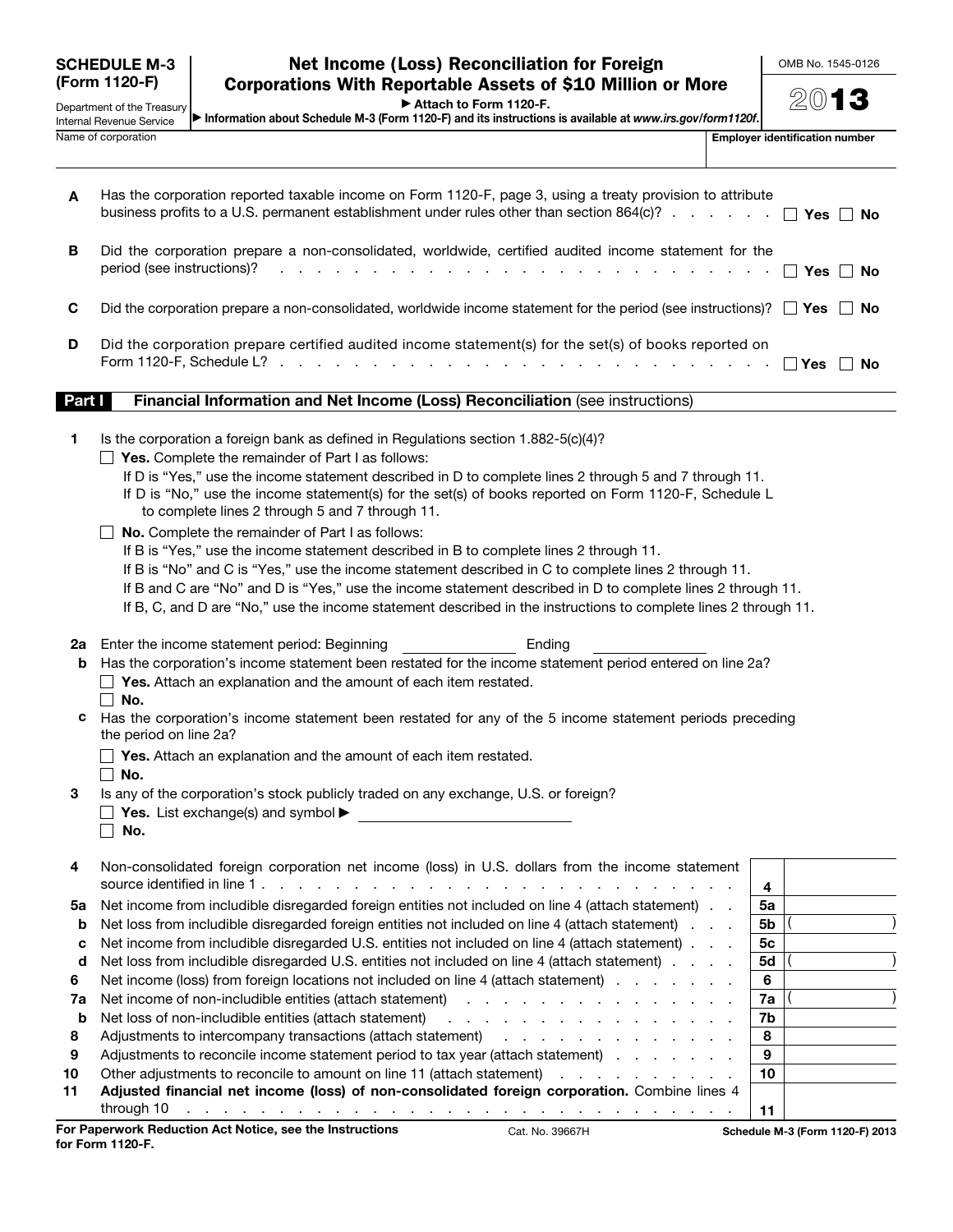| <b>SCHEDULE M-3</b> |  |
|---------------------|--|
| (Form 1120-F)       |  |

Department of the Treasury Internal Revenue Service Name of corporation **Employer is a contract of the Contract of Contract in the Contract of Contract in the Contract of Contract in the Contract of Contract in the Contract of Contract in the Contract of Contract in the Con** 

▶ Attach to Form 1120-F.

▶ Information about Schedule M-3 (Form 1120-F) and its instructions is available at *www.irs.gov/form1120f*.

| A        | Has the corporation reported taxable income on Form 1120-F, page 3, using a treaty provision to attribute<br>business profits to a U.S. permanent establishment under rules other than section 864(c)? $\Box$ Yes $\Box$ No                                                                                                                                                                                                                                                                                                                                                                                                                                                                                                                                                                                                                                                                                  |                      |  |  |  |
|----------|--------------------------------------------------------------------------------------------------------------------------------------------------------------------------------------------------------------------------------------------------------------------------------------------------------------------------------------------------------------------------------------------------------------------------------------------------------------------------------------------------------------------------------------------------------------------------------------------------------------------------------------------------------------------------------------------------------------------------------------------------------------------------------------------------------------------------------------------------------------------------------------------------------------|----------------------|--|--|--|
| В        | Did the corporation prepare a non-consolidated, worldwide, certified audited income statement for the<br>period (see instructions)?                                                                                                                                                                                                                                                                                                                                                                                                                                                                                                                                                                                                                                                                                                                                                                          |                      |  |  |  |
| C        | Did the corporation prepare a non-consolidated, worldwide income statement for the period (see instructions)? $\Box$ Yes $\Box$ No                                                                                                                                                                                                                                                                                                                                                                                                                                                                                                                                                                                                                                                                                                                                                                           |                      |  |  |  |
| D        | Did the corporation prepare certified audited income statement(s) for the set(s) of books reported on                                                                                                                                                                                                                                                                                                                                                                                                                                                                                                                                                                                                                                                                                                                                                                                                        |                      |  |  |  |
| Part I   | Financial Information and Net Income (Loss) Reconciliation (see instructions)                                                                                                                                                                                                                                                                                                                                                                                                                                                                                                                                                                                                                                                                                                                                                                                                                                |                      |  |  |  |
| 1        | Is the corporation a foreign bank as defined in Regulations section 1.882-5(c)(4)?<br>$\Box$ Yes. Complete the remainder of Part I as follows:<br>If D is "Yes," use the income statement described in D to complete lines 2 through 5 and 7 through 11.<br>If D is "No," use the income statement(s) for the set(s) of books reported on Form 1120-F, Schedule L<br>to complete lines 2 through 5 and 7 through 11.<br>No. Complete the remainder of Part I as follows:<br>If B is "Yes," use the income statement described in B to complete lines 2 through 11.<br>If B is "No" and C is "Yes," use the income statement described in C to complete lines 2 through 11.<br>If B and C are "No" and D is "Yes," use the income statement described in D to complete lines 2 through 11.<br>If B, C, and D are "No," use the income statement described in the instructions to complete lines 2 through 11. |                      |  |  |  |
| b        | 2a Enter the income statement period: Beginning<br>Ending<br>Has the corporation's income statement been restated for the income statement period entered on line 2a?                                                                                                                                                                                                                                                                                                                                                                                                                                                                                                                                                                                                                                                                                                                                        |                      |  |  |  |
|          | $\Box$ Yes. Attach an explanation and the amount of each item restated.                                                                                                                                                                                                                                                                                                                                                                                                                                                                                                                                                                                                                                                                                                                                                                                                                                      |                      |  |  |  |
|          | $\Box$ No.                                                                                                                                                                                                                                                                                                                                                                                                                                                                                                                                                                                                                                                                                                                                                                                                                                                                                                   |                      |  |  |  |
| C        | Has the corporation's income statement been restated for any of the 5 income statement periods preceding<br>the period on line 2a?                                                                                                                                                                                                                                                                                                                                                                                                                                                                                                                                                                                                                                                                                                                                                                           |                      |  |  |  |
|          | $\Box$ Yes. Attach an explanation and the amount of each item restated.                                                                                                                                                                                                                                                                                                                                                                                                                                                                                                                                                                                                                                                                                                                                                                                                                                      |                      |  |  |  |
| 3        | $\Box$ No.<br>Is any of the corporation's stock publicly traded on any exchange, U.S. or foreign?<br>$\Box$ Yes. List exchange(s) and symbol $\blacktriangleright$<br>$\Box$ No.                                                                                                                                                                                                                                                                                                                                                                                                                                                                                                                                                                                                                                                                                                                             |                      |  |  |  |
| 4        | Non-consolidated foreign corporation net income (loss) in U.S. dollars from the income statement<br>source identified in line 1.                                                                                                                                                                                                                                                                                                                                                                                                                                                                                                                                                                                                                                                                                                                                                                             | 4                    |  |  |  |
| 5a       | Net income from includible disregarded foreign entities not included on line 4 (attach statement).                                                                                                                                                                                                                                                                                                                                                                                                                                                                                                                                                                                                                                                                                                                                                                                                           | 5a                   |  |  |  |
| b<br>c   | Net loss from includible disregarded foreign entities not included on line 4 (attach statement)<br>Net income from includible disregarded U.S. entities not included on line 4 (attach statement).                                                                                                                                                                                                                                                                                                                                                                                                                                                                                                                                                                                                                                                                                                           | 5b<br>5 <sub>c</sub> |  |  |  |
| d        | Net loss from includible disregarded U.S. entities not included on line 4 (attach statement)                                                                                                                                                                                                                                                                                                                                                                                                                                                                                                                                                                                                                                                                                                                                                                                                                 | 5d                   |  |  |  |
| 6        | Net income (loss) from foreign locations not included on line 4 (attach statement)                                                                                                                                                                                                                                                                                                                                                                                                                                                                                                                                                                                                                                                                                                                                                                                                                           | 6                    |  |  |  |
| 7a       | Net income of non-includible entities (attach statement) enters and an analyzed of the statement of the statement of the statement of the statement of the statement of the statement of the statement of the statement of the                                                                                                                                                                                                                                                                                                                                                                                                                                                                                                                                                                                                                                                                               | 7a                   |  |  |  |
| b        | Net loss of non-includible entities (attach statement)<br>and the contract of the contract of the contract of                                                                                                                                                                                                                                                                                                                                                                                                                                                                                                                                                                                                                                                                                                                                                                                                | 7b                   |  |  |  |
| 8        | Adjustments to intercompany transactions (attach statement)<br>and the contract of the contract of the con-                                                                                                                                                                                                                                                                                                                                                                                                                                                                                                                                                                                                                                                                                                                                                                                                  | 8                    |  |  |  |
| 9        | Adjustments to reconcile income statement period to tax year (attach statement)                                                                                                                                                                                                                                                                                                                                                                                                                                                                                                                                                                                                                                                                                                                                                                                                                              | 9                    |  |  |  |
| 10<br>11 | Other adjustments to reconcile to amount on line 11 (attach statement)<br>and the company of the company of<br>Adjusted financial net income (loss) of non-consolidated foreign corporation. Combine lines 4                                                                                                                                                                                                                                                                                                                                                                                                                                                                                                                                                                                                                                                                                                 | 10                   |  |  |  |
|          | through 10<br>المتالية والمناقل والمناقل والمناقل والمناقل والمناقل والمناقل والمناقل والمناقل والمناقل والمناقل                                                                                                                                                                                                                                                                                                                                                                                                                                                                                                                                                                                                                                                                                                                                                                                             | 11                   |  |  |  |
|          |                                                                                                                                                                                                                                                                                                                                                                                                                                                                                                                                                                                                                                                                                                                                                                                                                                                                                                              |                      |  |  |  |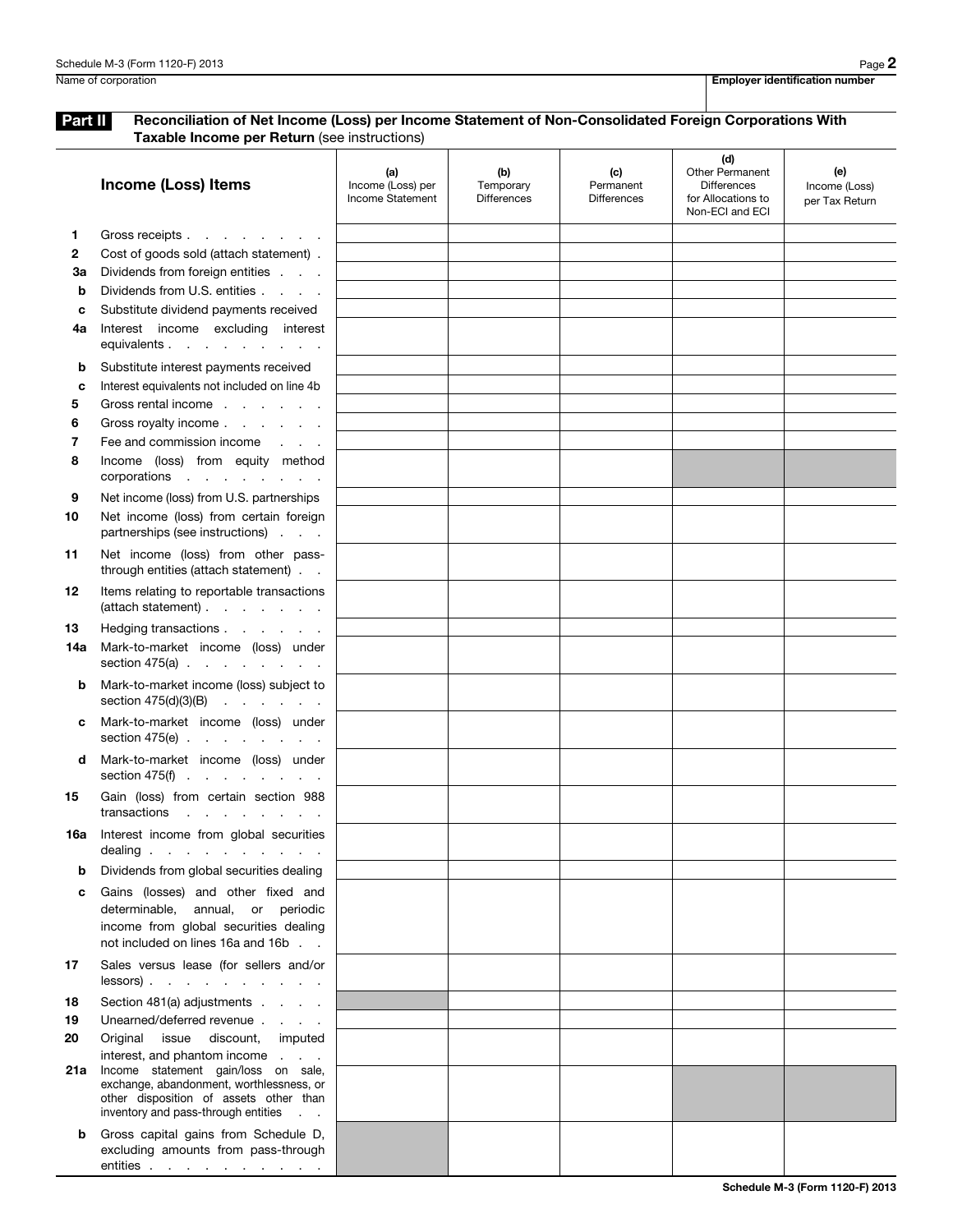Part II Reconciliation of Net Income (Loss) per Income Statement of Non-Consolidated Foreign Corporations With Taxable Income per Return (see instructions)

|              | <b>Income (Loss) Items</b>                                                                                                                            | (a)<br>Income (Loss) per<br>Income Statement | (b)<br>Temporary<br><b>Differences</b> | (c)<br>Permanent<br><b>Differences</b> | (d)<br><b>Other Permanent</b><br><b>Differences</b><br>for Allocations to<br>Non-ECI and ECI | (e)<br>Income (Loss)<br>per Tax Return |
|--------------|-------------------------------------------------------------------------------------------------------------------------------------------------------|----------------------------------------------|----------------------------------------|----------------------------------------|----------------------------------------------------------------------------------------------|----------------------------------------|
| 1.           | Gross receipts                                                                                                                                        |                                              |                                        |                                        |                                                                                              |                                        |
| $\mathbf{2}$ | Cost of goods sold (attach statement).                                                                                                                |                                              |                                        |                                        |                                                                                              |                                        |
| За           | Dividends from foreign entities                                                                                                                       |                                              |                                        |                                        |                                                                                              |                                        |
| b            | Dividends from U.S. entities                                                                                                                          |                                              |                                        |                                        |                                                                                              |                                        |
| C            | Substitute dividend payments received                                                                                                                 |                                              |                                        |                                        |                                                                                              |                                        |
| 4a           | Interest income excluding interest<br>equivalents                                                                                                     |                                              |                                        |                                        |                                                                                              |                                        |
| b            | Substitute interest payments received                                                                                                                 |                                              |                                        |                                        |                                                                                              |                                        |
| C            | Interest equivalents not included on line 4b                                                                                                          |                                              |                                        |                                        |                                                                                              |                                        |
| 5            | Gross rental income                                                                                                                                   |                                              |                                        |                                        |                                                                                              |                                        |
| 6            | Gross royalty income                                                                                                                                  |                                              |                                        |                                        |                                                                                              |                                        |
| 7            | Fee and commission income                                                                                                                             |                                              |                                        |                                        |                                                                                              |                                        |
| 8            | Income (loss) from equity method<br>corporations                                                                                                      |                                              |                                        |                                        |                                                                                              |                                        |
| 9            | Net income (loss) from U.S. partnerships                                                                                                              |                                              |                                        |                                        |                                                                                              |                                        |
| 10           | Net income (loss) from certain foreign<br>partnerships (see instructions)                                                                             |                                              |                                        |                                        |                                                                                              |                                        |
| 11           | Net income (loss) from other pass-<br>through entities (attach statement)                                                                             |                                              |                                        |                                        |                                                                                              |                                        |
| 12           | Items relating to reportable transactions<br>(attach statement)                                                                                       |                                              |                                        |                                        |                                                                                              |                                        |
| 13           | Hedging transactions                                                                                                                                  |                                              |                                        |                                        |                                                                                              |                                        |
| 14a          | Mark-to-market income (loss) under<br>section $475(a)$ .                                                                                              |                                              |                                        |                                        |                                                                                              |                                        |
| b            | Mark-to-market income (loss) subject to<br>section $475(d)(3)(B)$                                                                                     |                                              |                                        |                                        |                                                                                              |                                        |
| c            | Mark-to-market income (loss) under<br>section 475(e) $\cdot \cdot \cdot \cdot \cdot \cdot \cdot$                                                      |                                              |                                        |                                        |                                                                                              |                                        |
| d            | Mark-to-market income (loss) under<br>section 475(f) $\cdot \cdot \cdot \cdot \cdot \cdot \cdot$                                                      |                                              |                                        |                                        |                                                                                              |                                        |
| 15           | Gain (loss) from certain section 988<br>transactions<br>$\mathbf{r}$ , $\mathbf{r}$ , $\mathbf{r}$ , $\mathbf{r}$ , $\mathbf{r}$ , $\mathbf{r}$       |                                              |                                        |                                        |                                                                                              |                                        |
|              | 16a Interest income from global securities<br>dealing                                                                                                 |                                              |                                        |                                        |                                                                                              |                                        |
| b            | Dividends from global securities dealing                                                                                                              |                                              |                                        |                                        |                                                                                              |                                        |
| c            | Gains (losses) and other fixed and<br>determinable, annual, or periodic<br>income from global securities dealing<br>not included on lines 16a and 16b |                                              |                                        |                                        |                                                                                              |                                        |
| 17           | Sales versus lease (for sellers and/or<br>$lessors)$ .                                                                                                |                                              |                                        |                                        |                                                                                              |                                        |
| 18           | Section 481(a) adjustments                                                                                                                            |                                              |                                        |                                        |                                                                                              |                                        |
| 19           | Unearned/deferred revenue                                                                                                                             |                                              |                                        |                                        |                                                                                              |                                        |
| 20           | Original issue discount, imputed                                                                                                                      |                                              |                                        |                                        |                                                                                              |                                        |
| 21a          | interest, and phantom income<br>Income statement gain/loss on sale,                                                                                   |                                              |                                        |                                        |                                                                                              |                                        |
|              | exchange, abandonment, worthlessness, or<br>other disposition of assets other than<br>inventory and pass-through entities                             |                                              |                                        |                                        |                                                                                              |                                        |
| b            | Gross capital gains from Schedule D,<br>excluding amounts from pass-through<br>entities                                                               |                                              |                                        |                                        |                                                                                              |                                        |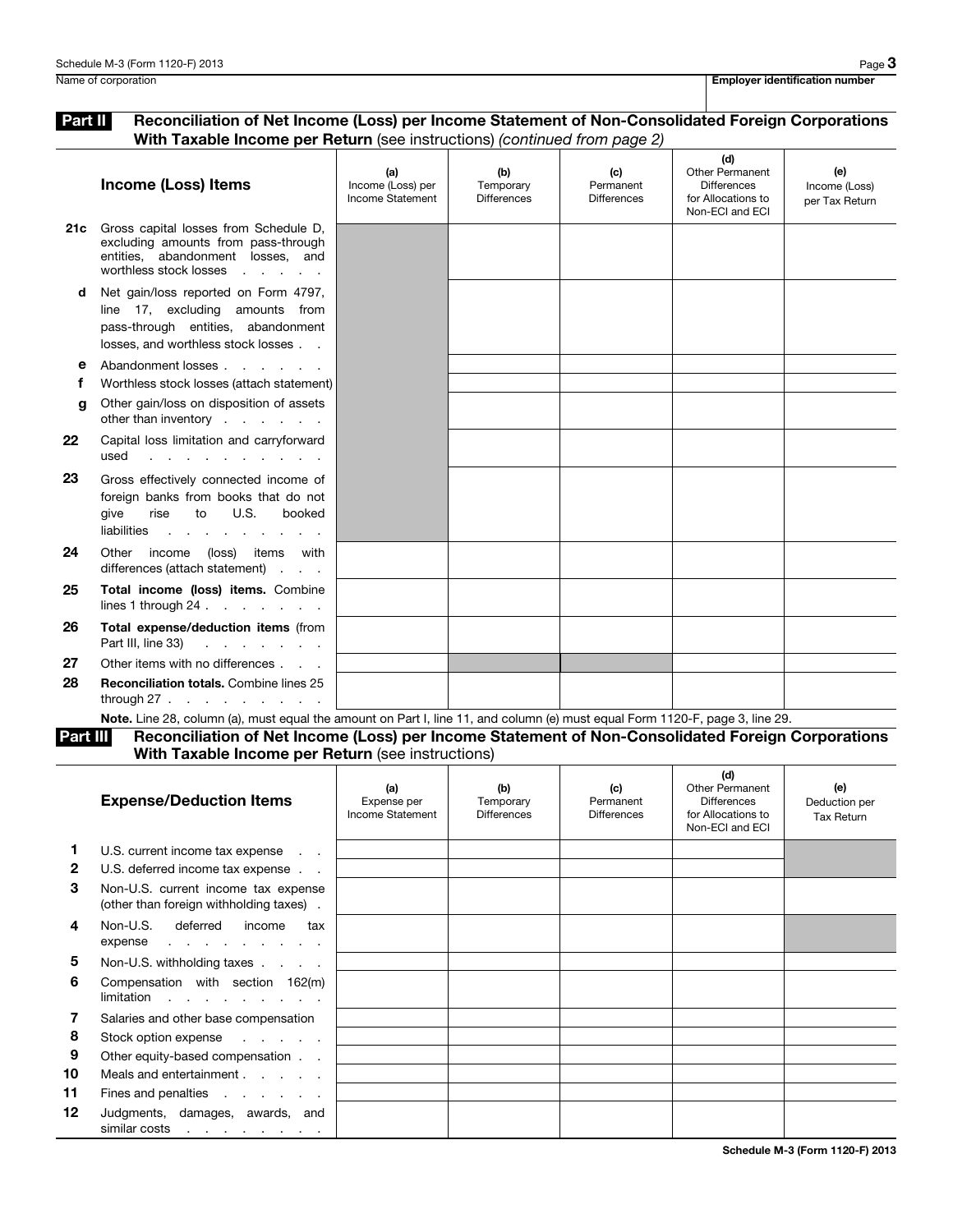## Part II Reconciliation of Net Income (Loss) per Income Statement of Non-Consolidated Foreign Corporations With Taxable Income per Return (see instructions) *(continued from page 2)*

|     | <b>Income (Loss) Items</b>                                                                                                                                                                                                                                                               | (a)<br>Income (Loss) per<br>Income Statement | (b)<br>Temporary<br><b>Differences</b> | (c)<br>Permanent<br><b>Differences</b> | (d)<br>Other Permanent<br><b>Differences</b><br>for Allocations to<br>Non-ECI and ECI | (e)<br>Income (Loss)<br>per Tax Return |
|-----|------------------------------------------------------------------------------------------------------------------------------------------------------------------------------------------------------------------------------------------------------------------------------------------|----------------------------------------------|----------------------------------------|----------------------------------------|---------------------------------------------------------------------------------------|----------------------------------------|
| 21c | Gross capital losses from Schedule D,<br>excluding amounts from pass-through<br>entities, abandonment losses, and<br>worthless stock losses                                                                                                                                              |                                              |                                        |                                        |                                                                                       |                                        |
| d   | Net gain/loss reported on Form 4797,<br>line 17, excluding amounts from<br>pass-through entities, abandonment<br>losses, and worthless stock losses                                                                                                                                      |                                              |                                        |                                        |                                                                                       |                                        |
| е   | Abandonment losses                                                                                                                                                                                                                                                                       |                                              |                                        |                                        |                                                                                       |                                        |
| f   | Worthless stock losses (attach statement)                                                                                                                                                                                                                                                |                                              |                                        |                                        |                                                                                       |                                        |
| a   | Other gain/loss on disposition of assets<br>other than inventory                                                                                                                                                                                                                         |                                              |                                        |                                        |                                                                                       |                                        |
| 22  | Capital loss limitation and carryforward<br>used<br><u>in the series of the series of the series of the series of the series of the series of the series of the series of the series of the series of the series of the series of the series of the series of the series of the seri</u> |                                              |                                        |                                        |                                                                                       |                                        |
| 23  | Gross effectively connected income of<br>foreign banks from books that do not<br>to U.S.<br>rise<br>booked<br>qive<br>liabilities                                                                                                                                                        |                                              |                                        |                                        |                                                                                       |                                        |
| 24  | Other income (loss) items with<br>differences (attach statement)                                                                                                                                                                                                                         |                                              |                                        |                                        |                                                                                       |                                        |
| 25  | Total income (loss) items. Combine<br>lines 1 through $24$                                                                                                                                                                                                                               |                                              |                                        |                                        |                                                                                       |                                        |
| 26  | Total expense/deduction items (from                                                                                                                                                                                                                                                      |                                              |                                        |                                        |                                                                                       |                                        |
| 27  | Other items with no differences                                                                                                                                                                                                                                                          |                                              |                                        |                                        |                                                                                       |                                        |
| 28  | <b>Reconciliation totals. Combine lines 25</b><br>through $27 \cdot \cdot \cdot \cdot \cdot \cdot \cdot \cdot$                                                                                                                                                                           |                                              |                                        |                                        |                                                                                       |                                        |
|     | Note. Line 28, column (a), must equal the amount on Part I, line 11, and column (e) must equal Form 1120-F, page 3, line 29.                                                                                                                                                             |                                              |                                        |                                        |                                                                                       |                                        |

Part III Reconciliation of Net Income (Loss) per Income Statement of Non-Consolidated Foreign Corporations

With Taxable Income per Return (see instructions)

|              | <b>Expense/Deduction Items</b>                                                 | (a)<br>Expense per<br>Income Statement | (b)<br>Temporary<br><b>Differences</b> | (c)<br>Permanent<br><b>Differences</b> | (d)<br><b>Other Permanent</b><br><b>Differences</b><br>for Allocations to<br>Non-ECI and ECI | (e)<br>Deduction per<br><b>Tax Return</b> |
|--------------|--------------------------------------------------------------------------------|----------------------------------------|----------------------------------------|----------------------------------------|----------------------------------------------------------------------------------------------|-------------------------------------------|
|              | U.S. current income tax expense                                                |                                        |                                        |                                        |                                                                                              |                                           |
| $\mathbf{2}$ | U.S. deferred income tax expense                                               |                                        |                                        |                                        |                                                                                              |                                           |
| 3            | Non-U.S. current income tax expense<br>(other than foreign withholding taxes). |                                        |                                        |                                        |                                                                                              |                                           |
| 4            | Non-U.S. deferred income<br>tax<br>expense                                     |                                        |                                        |                                        |                                                                                              |                                           |
| 5            | Non-U.S. withholding taxes                                                     |                                        |                                        |                                        |                                                                                              |                                           |
| 6            | Compensation with section 162(m)<br>$limitation$                               |                                        |                                        |                                        |                                                                                              |                                           |
| 7            | Salaries and other base compensation                                           |                                        |                                        |                                        |                                                                                              |                                           |
| 8            | Stock option expense                                                           |                                        |                                        |                                        |                                                                                              |                                           |
| 9            | Other equity-based compensation                                                |                                        |                                        |                                        |                                                                                              |                                           |
| 10           | Meals and entertainment                                                        |                                        |                                        |                                        |                                                                                              |                                           |
| 11           | Fines and penalties                                                            |                                        |                                        |                                        |                                                                                              |                                           |
| 12           | Judgments, damages, awards, and<br>similar costs                               |                                        |                                        |                                        |                                                                                              |                                           |
|              |                                                                                |                                        |                                        |                                        |                                                                                              | $0.1.1.1.1.100$ $(0.00000)$ $(0.00000)$   |

Schedule M-3 (Form 1120-F) 2013